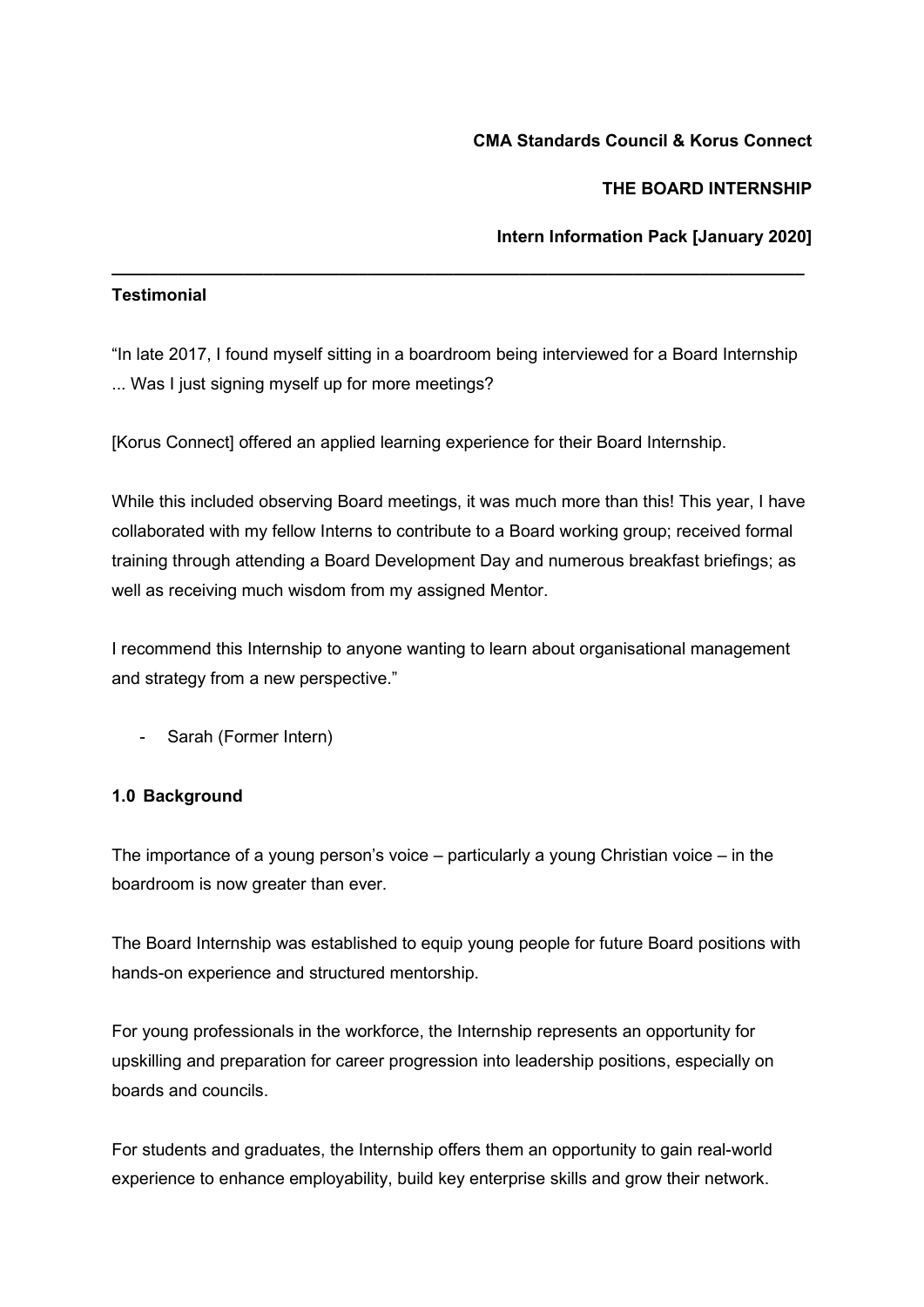## **CMA Standards Council & Korus Connect**

# **THE BOARD INTERNSHIP**

# **Intern Information Pack [January 2020]**

## **Testimonial**

"In late 2017, I found myself sitting in a boardroom being interviewed for a Board Internship ... Was I just signing myself up for more meetings?

**\_\_\_\_\_\_\_\_\_\_\_\_\_\_\_\_\_\_\_\_\_\_\_\_\_\_\_\_\_\_\_\_\_\_\_\_\_\_\_\_\_\_\_\_\_\_\_\_\_\_\_\_\_\_\_\_\_\_\_\_\_\_\_\_\_\_\_\_\_\_\_\_\_**

[Korus Connect] offered an applied learning experience for their Board Internship.

While this included observing Board meetings, it was much more than this! This year, I have collaborated with my fellow Interns to contribute to a Board working group; received formal training through attending a Board Development Day and numerous breakfast briefings; as well as receiving much wisdom from my assigned Mentor.

I recommend this Internship to anyone wanting to learn about organisational management and strategy from a new perspective."

Sarah (Former Intern)

## **1.0 Background**

The importance of a young person's voice – particularly a young Christian voice – in the boardroom is now greater than ever.

The Board Internship was established to equip young people for future Board positions with hands-on experience and structured mentorship.

For young professionals in the workforce, the Internship represents an opportunity for upskilling and preparation for career progression into leadership positions, especially on boards and councils.

For students and graduates, the Internship offers them an opportunity to gain real-world experience to enhance employability, build key enterprise skills and grow their network.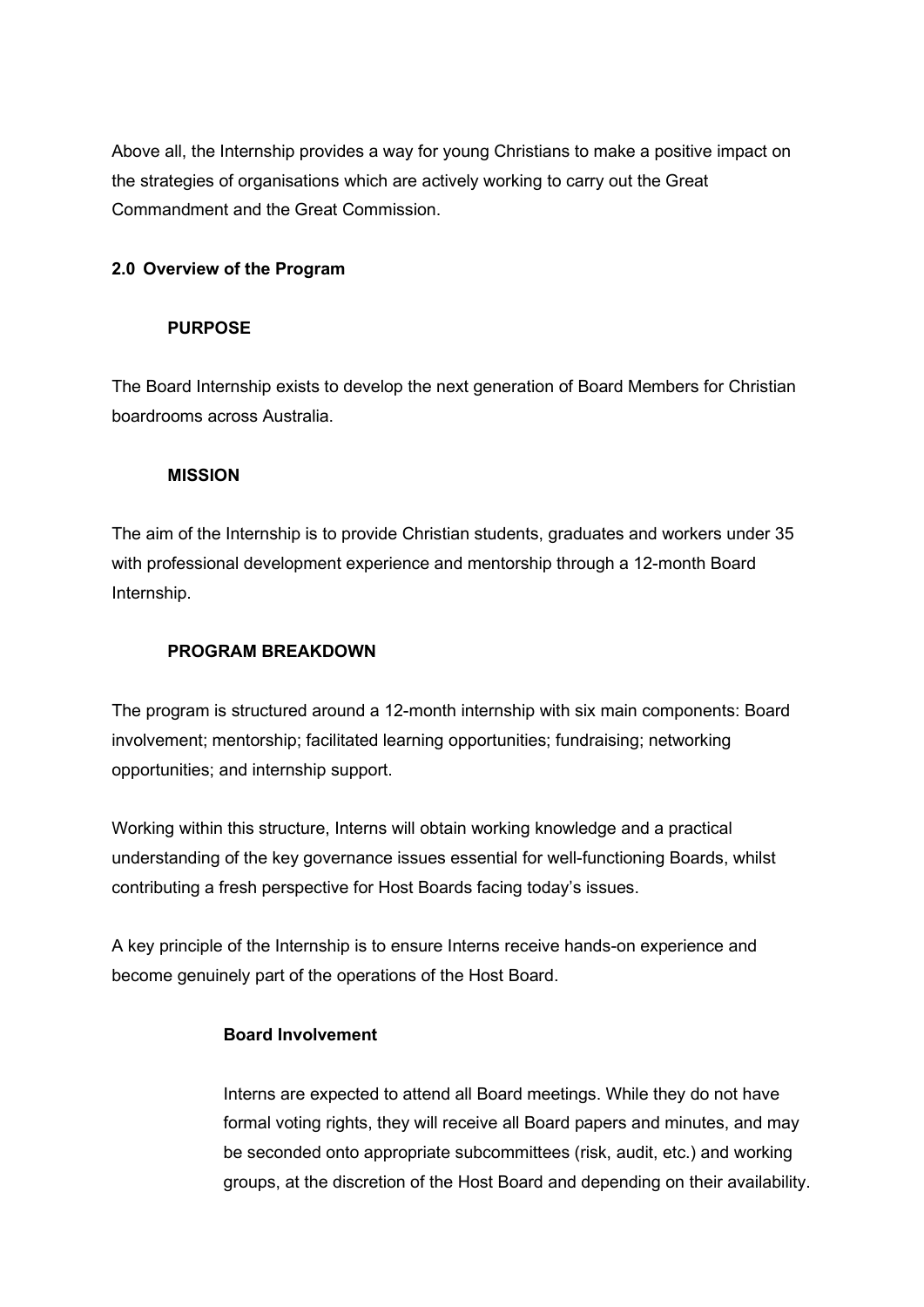Above all, the Internship provides a way for young Christians to make a positive impact on the strategies of organisations which are actively working to carry out the Great Commandment and the Great Commission.

## **2.0 Overview of the Program**

### **PURPOSE**

The Board Internship exists to develop the next generation of Board Members for Christian boardrooms across Australia.

### **MISSION**

The aim of the Internship is to provide Christian students, graduates and workers under 35 with professional development experience and mentorship through a 12-month Board Internship.

## **PROGRAM BREAKDOWN**

The program is structured around a 12-month internship with six main components: Board involvement; mentorship; facilitated learning opportunities; fundraising; networking opportunities; and internship support.

Working within this structure, Interns will obtain working knowledge and a practical understanding of the key governance issues essential for well-functioning Boards, whilst contributing a fresh perspective for Host Boards facing today's issues.

A key principle of the Internship is to ensure Interns receive hands-on experience and become genuinely part of the operations of the Host Board.

# **Board Involvement**

Interns are expected to attend all Board meetings. While they do not have formal voting rights, they will receive all Board papers and minutes, and may be seconded onto appropriate subcommittees (risk, audit, etc.) and working groups, at the discretion of the Host Board and depending on their availability.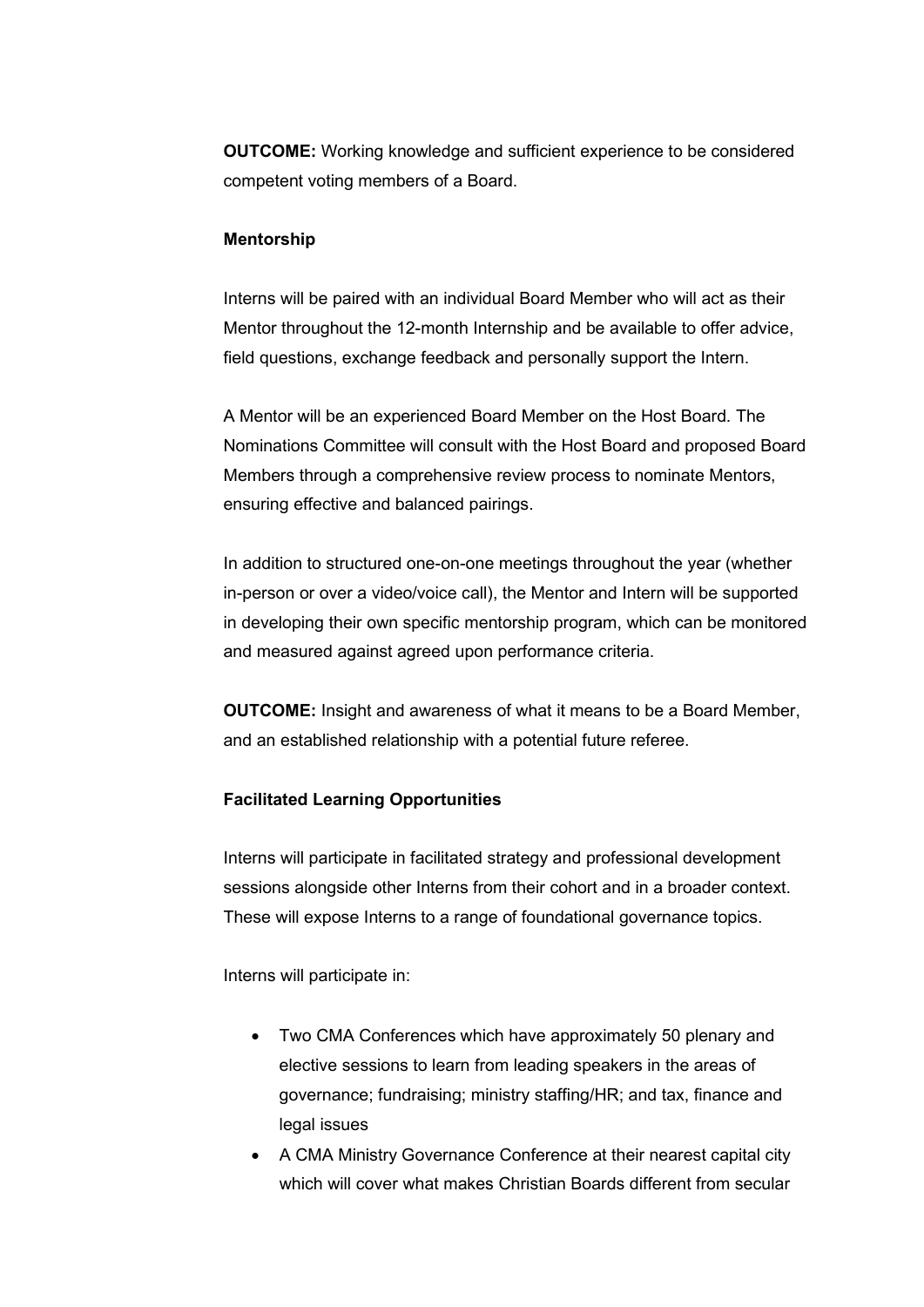**OUTCOME:** Working knowledge and sufficient experience to be considered competent voting members of a Board.

#### **Mentorship**

Interns will be paired with an individual Board Member who will act as their Mentor throughout the 12-month Internship and be available to offer advice, field questions, exchange feedback and personally support the Intern.

A Mentor will be an experienced Board Member on the Host Board. The Nominations Committee will consult with the Host Board and proposed Board Members through a comprehensive review process to nominate Mentors, ensuring effective and balanced pairings.

In addition to structured one-on-one meetings throughout the year (whether in-person or over a video/voice call), the Mentor and Intern will be supported in developing their own specific mentorship program, which can be monitored and measured against agreed upon performance criteria.

**OUTCOME:** Insight and awareness of what it means to be a Board Member, and an established relationship with a potential future referee.

#### **Facilitated Learning Opportunities**

Interns will participate in facilitated strategy and professional development sessions alongside other Interns from their cohort and in a broader context. These will expose Interns to a range of foundational governance topics.

Interns will participate in:

- Two CMA Conferences which have approximately 50 plenary and elective sessions to learn from leading speakers in the areas of governance; fundraising; ministry staffing/HR; and tax, finance and legal issues
- A CMA Ministry Governance Conference at their nearest capital city which will cover what makes Christian Boards different from secular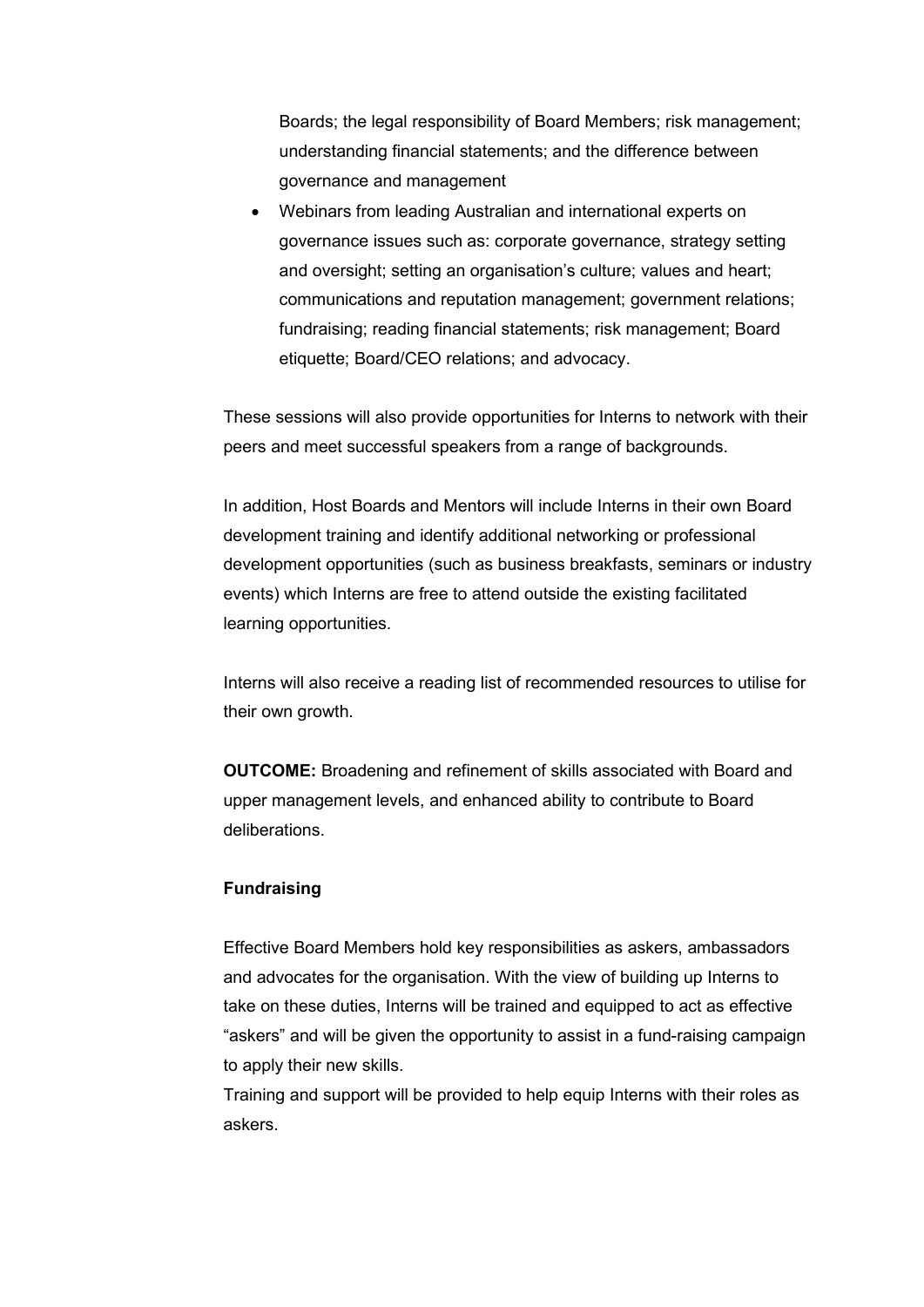Boards; the legal responsibility of Board Members; risk management; understanding financial statements; and the difference between governance and management

• Webinars from leading Australian and international experts on governance issues such as: corporate governance, strategy setting and oversight; setting an organisation's culture; values and heart; communications and reputation management; government relations; fundraising; reading financial statements; risk management; Board etiquette; Board/CEO relations; and advocacy.

These sessions will also provide opportunities for Interns to network with their peers and meet successful speakers from a range of backgrounds.

In addition, Host Boards and Mentors will include Interns in their own Board development training and identify additional networking or professional development opportunities (such as business breakfasts, seminars or industry events) which Interns are free to attend outside the existing facilitated learning opportunities.

Interns will also receive a reading list of recommended resources to utilise for their own growth.

**OUTCOME:** Broadening and refinement of skills associated with Board and upper management levels, and enhanced ability to contribute to Board deliberations.

#### **Fundraising**

Effective Board Members hold key responsibilities as askers, ambassadors and advocates for the organisation. With the view of building up Interns to take on these duties, Interns will be trained and equipped to act as effective "askers" and will be given the opportunity to assist in a fund-raising campaign to apply their new skills.

Training and support will be provided to help equip Interns with their roles as askers.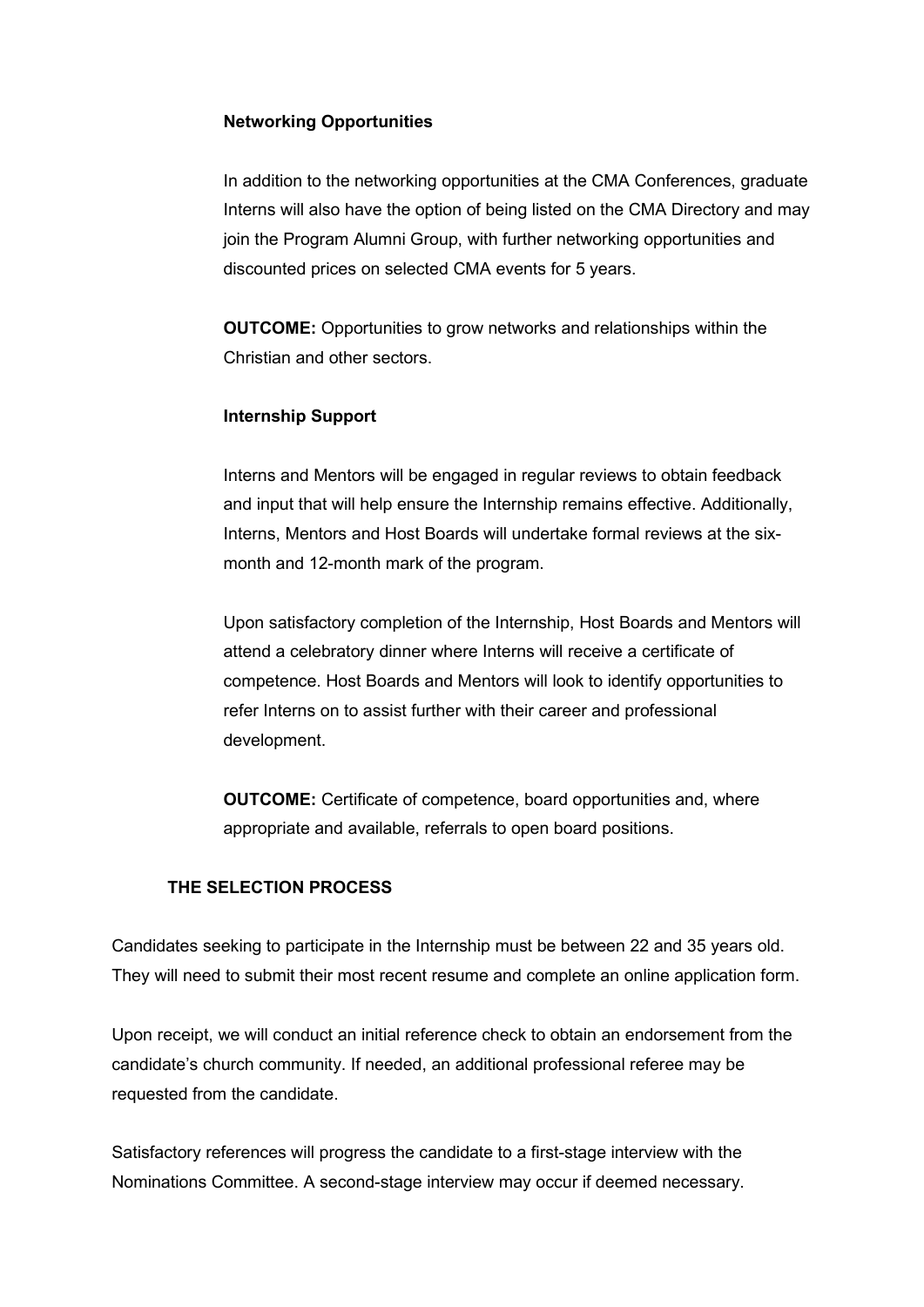#### **Networking Opportunities**

In addition to the networking opportunities at the CMA Conferences, graduate Interns will also have the option of being listed on the CMA Directory and may join the Program Alumni Group, with further networking opportunities and discounted prices on selected CMA events for 5 years.

**OUTCOME:** Opportunities to grow networks and relationships within the Christian and other sectors.

#### **Internship Support**

Interns and Mentors will be engaged in regular reviews to obtain feedback and input that will help ensure the Internship remains effective. Additionally, Interns, Mentors and Host Boards will undertake formal reviews at the sixmonth and 12-month mark of the program.

Upon satisfactory completion of the Internship, Host Boards and Mentors will attend a celebratory dinner where Interns will receive a certificate of competence. Host Boards and Mentors will look to identify opportunities to refer Interns on to assist further with their career and professional development.

**OUTCOME:** Certificate of competence, board opportunities and, where appropriate and available, referrals to open board positions.

#### **THE SELECTION PROCESS**

Candidates seeking to participate in the Internship must be between 22 and 35 years old. They will need to submit their most recent resume and complete an online application form.

Upon receipt, we will conduct an initial reference check to obtain an endorsement from the candidate's church community. If needed, an additional professional referee may be requested from the candidate.

Satisfactory references will progress the candidate to a first-stage interview with the Nominations Committee. A second-stage interview may occur if deemed necessary.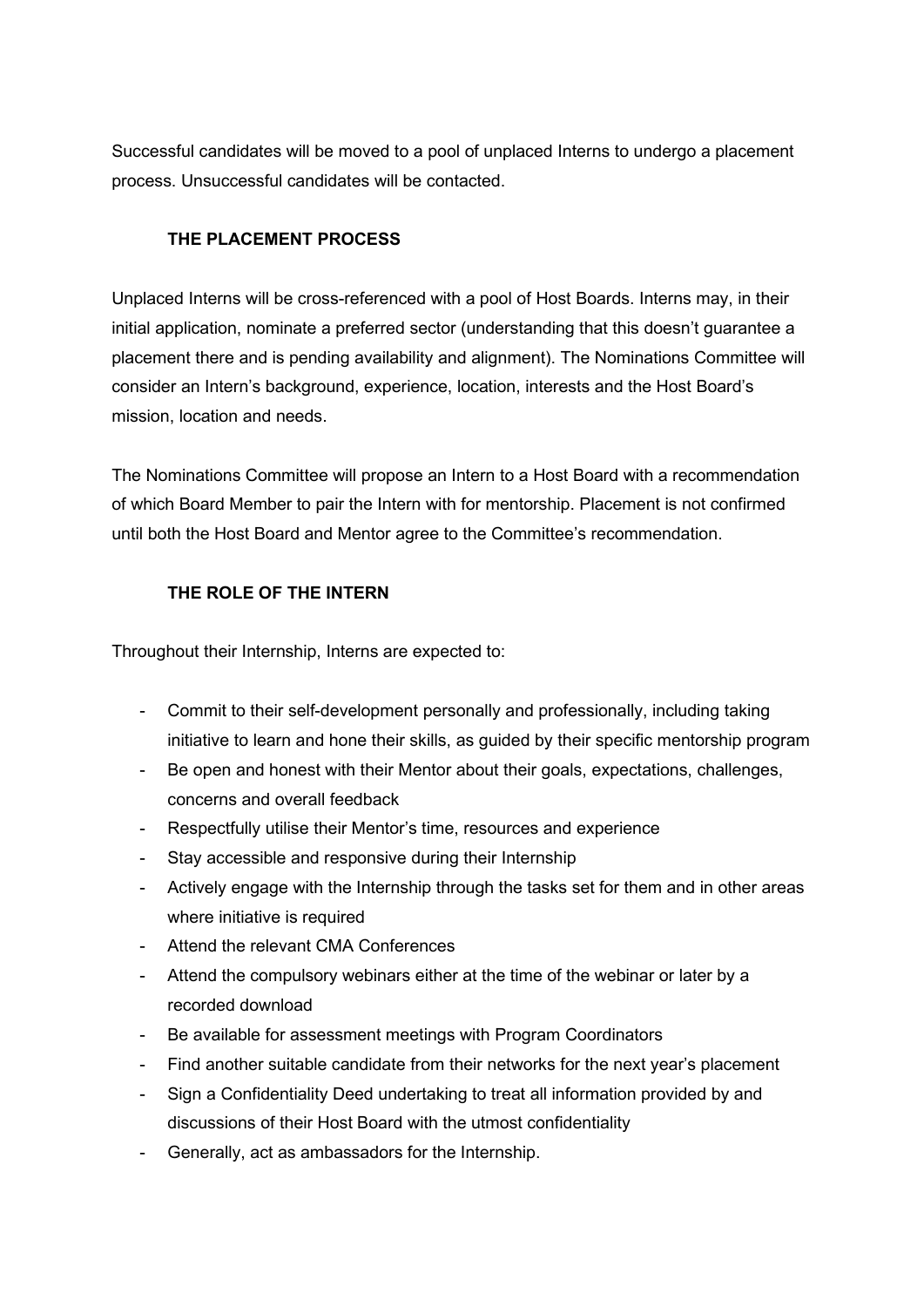Successful candidates will be moved to a pool of unplaced Interns to undergo a placement process. Unsuccessful candidates will be contacted.

## **THE PLACEMENT PROCESS**

Unplaced Interns will be cross-referenced with a pool of Host Boards. Interns may, in their initial application, nominate a preferred sector (understanding that this doesn't guarantee a placement there and is pending availability and alignment). The Nominations Committee will consider an Intern's background, experience, location, interests and the Host Board's mission, location and needs.

The Nominations Committee will propose an Intern to a Host Board with a recommendation of which Board Member to pair the Intern with for mentorship. Placement is not confirmed until both the Host Board and Mentor agree to the Committee's recommendation.

# **THE ROLE OF THE INTERN**

Throughout their Internship, Interns are expected to:

- Commit to their self-development personally and professionally, including taking initiative to learn and hone their skills, as guided by their specific mentorship program
- Be open and honest with their Mentor about their goals, expectations, challenges, concerns and overall feedback
- Respectfully utilise their Mentor's time, resources and experience
- Stay accessible and responsive during their Internship
- Actively engage with the Internship through the tasks set for them and in other areas where initiative is required
- Attend the relevant CMA Conferences
- Attend the compulsory webinars either at the time of the webinar or later by a recorded download
- Be available for assessment meetings with Program Coordinators
- Find another suitable candidate from their networks for the next year's placement
- Sign a Confidentiality Deed undertaking to treat all information provided by and discussions of their Host Board with the utmost confidentiality
- Generally, act as ambassadors for the Internship.